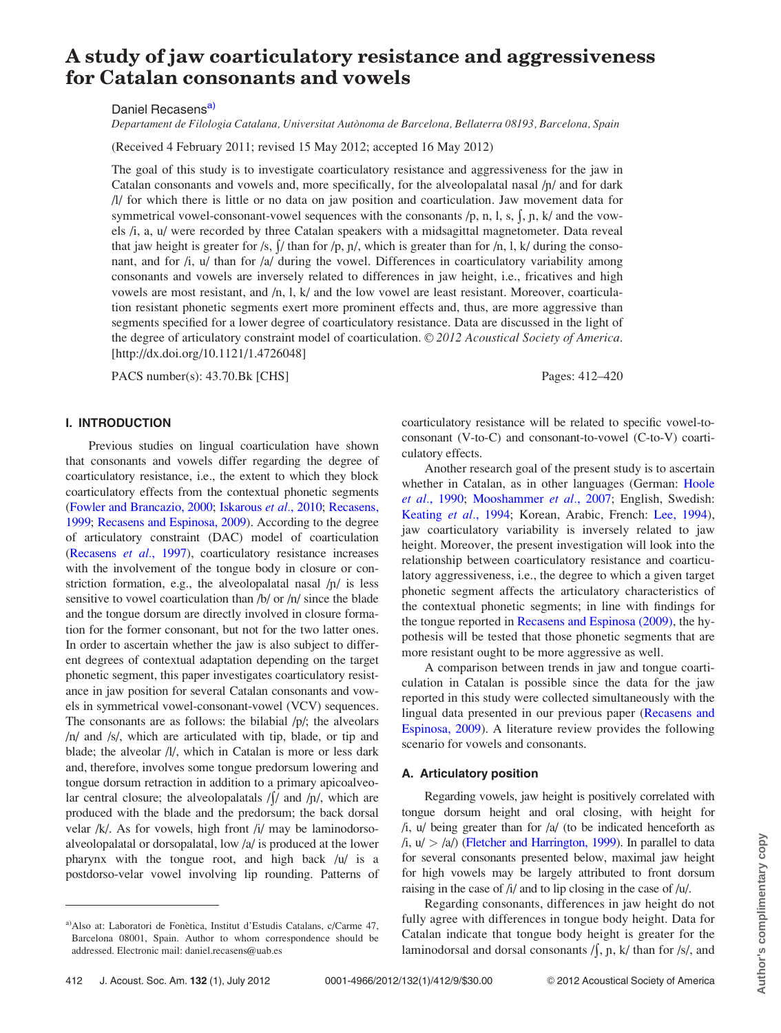# <span id="page-0-0"></span>A study of jaw coarticulatory resistance and aggressiveness for Catalan consonants and vowels

Daniel Recasens<sup>a)</sup>

Departament de Filologia Catalana, Universitat Autònoma de Barcelona, Bellaterra 08193, Barcelona, Spain

(Received 4 February 2011; revised 15 May 2012; accepted 16 May 2012)

The goal of this study is to investigate coarticulatory resistance and aggressiveness for the jaw in Catalan consonants and vowels and, more specifically, for the alveolopalatal nasal  $/p$  and for dark /l/ for which there is little or no data on jaw position and coarticulation. Jaw movement data for symmetrical vowel-consonant-vowel sequences with the consonants  $/p$ , n, l, s,  $\int$ ,  $p$ ,  $k/$  and the vowels /i, a, u/ were recorded by three Catalan speakers with a midsagittal magnetometer. Data reveal that jaw height is greater for /s,  $\int / \tan$  for /p,  $\eta$ /, which is greater than for /n, l, k/ during the consonant, and for  $\lambda$ ,  $\mu$  than for  $\lambda$  during the vowel. Differences in coarticulatory variability among consonants and vowels are inversely related to differences in jaw height, i.e., fricatives and high vowels are most resistant, and /n, l, k/ and the low vowel are least resistant. Moreover, coarticulation resistant phonetic segments exert more prominent effects and, thus, are more aggressive than segments specified for a lower degree of coarticulatory resistance. Data are discussed in the light of the degree of articulatory constraint model of coarticulation. © 2012 Acoustical Society of America. [http://dx.doi.org/10.1121/1.4726048]

PACS number(s): 43.70.Bk [CHS] Pages: 412–420

# I. INTRODUCTION

Previous studies on lingual coarticulation have shown that consonants and vowels differ regarding the degree of coarticulatory resistance, i.e., the extent to which they block coarticulatory effects from the contextual phonetic segments ([Fowler and Brancazio, 2000;](#page-8-0) [Iskarous](#page-8-0) et al., 2010; [Recasens,](#page-8-0) [1999](#page-8-0); [Recasens and Espinosa, 2009\)](#page-8-0). According to the degree of articulatory constraint (DAC) model of coarticulation ([Recasens](#page-8-0) et al., 1997), coarticulatory resistance increases with the involvement of the tongue body in closure or constriction formation, e.g., the alveolopalatal nasal  $/p/$  is less sensitive to vowel coarticulation than /b/ or /n/ since the blade and the tongue dorsum are directly involved in closure formation for the former consonant, but not for the two latter ones. In order to ascertain whether the jaw is also subject to different degrees of contextual adaptation depending on the target phonetic segment, this paper investigates coarticulatory resistance in jaw position for several Catalan consonants and vowels in symmetrical vowel-consonant-vowel (VCV) sequences. The consonants are as follows: the bilabial /p/; the alveolars /n/ and /s/, which are articulated with tip, blade, or tip and blade; the alveolar /l/, which in Catalan is more or less dark and, therefore, involves some tongue predorsum lowering and tongue dorsum retraction in addition to a primary apicoalveolar central closure; the alveolopalatals  $/$ / $/$  and  $/$  $/$  $/$ , which are produced with the blade and the predorsum; the back dorsal velar /k/. As for vowels, high front /i/ may be laminodorsoalveolopalatal or dorsopalatal, low /a/ is produced at the lower pharynx with the tongue root, and high back /u/ is a postdorso-velar vowel involving lip rounding. Patterns of

coarticulatory resistance will be related to specific vowel-toconsonant (V-to-C) and consonant-to-vowel (C-to-V) coarticulatory effects.

Another research goal of the present study is to ascertain whether in Catalan, as in other languages (German: [Hoole](#page-8-0) et al.[, 1990;](#page-8-0) [Mooshammer](#page-8-0) et al., 2007; English, Swedish: [Keating](#page-8-0) et al., 1994; Korean, Arabic, French: [Lee, 1994\)](#page-8-0), jaw coarticulatory variability is inversely related to jaw height. Moreover, the present investigation will look into the relationship between coarticulatory resistance and coarticulatory aggressiveness, i.e., the degree to which a given target phonetic segment affects the articulatory characteristics of the contextual phonetic segments; in line with findings for the tongue reported in [Recasens and Espinosa \(2009\),](#page-8-0) the hypothesis will be tested that those phonetic segments that are more resistant ought to be more aggressive as well.

A comparison between trends in jaw and tongue coarticulation in Catalan is possible since the data for the jaw reported in this study were collected simultaneously with the lingual data presented in our previous paper [\(Recasens and](#page-8-0) [Espinosa, 2009](#page-8-0)). A literature review provides the following scenario for vowels and consonants.

# A. Articulatory position

Regarding vowels, jaw height is positively correlated with tongue dorsum height and oral closing, with height for  $/i$ ,  $u$  being greater than for  $a$  (to be indicated henceforth as  $(i, u) > \frac{a}{b}$  [\(Fletcher and Harrington, 1999](#page-8-0)). In parallel to data for several consonants presented below, maximal jaw height for high vowels may be largely attributed to front dorsum raising in the case of /i/ and to lip closing in the case of /u/.

Regarding consonants, differences in jaw height do not fully agree with differences in tongue body height. Data for Catalan indicate that tongue body height is greater for the laminodorsal and dorsal consonants  $/$ , n, k/ than for  $/$ s/, and

a)Also at: Laboratori de Fonètica, Institut d'Estudis Catalans, c/Carme 47, Barcelona 08001, Spain. Author to whom correspondence should be addressed. Electronic mail: daniel.recasens@uab.es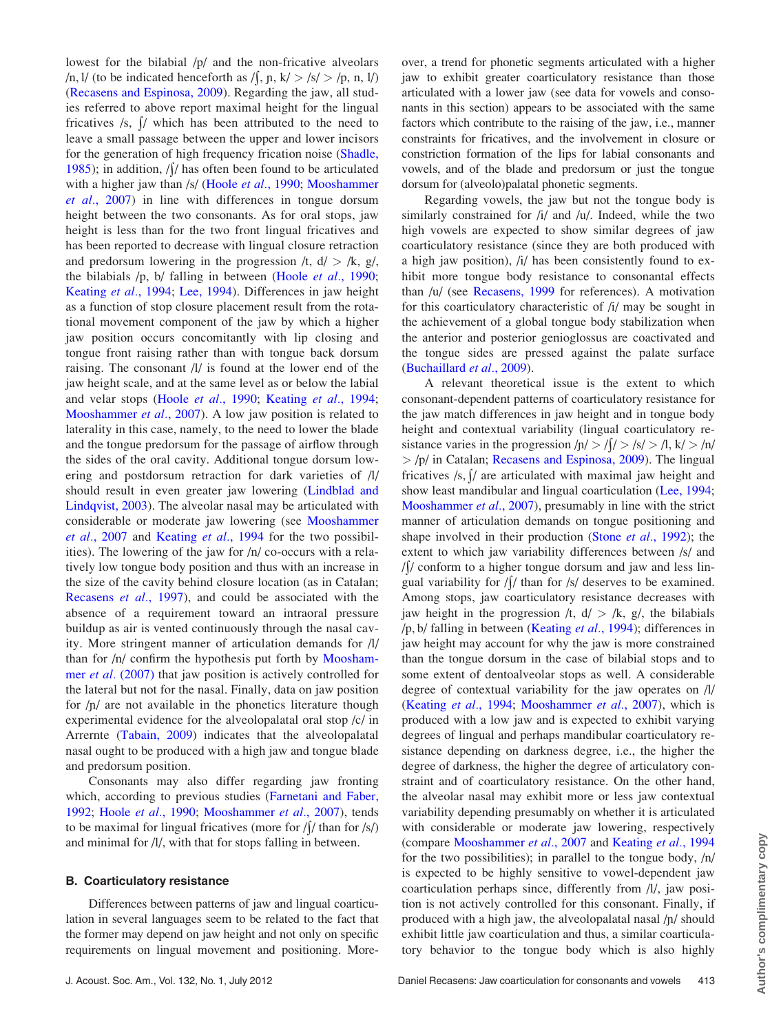lowest for the bilabial /p/ and the non-fricative alveolars /n, l/ (to be indicated henceforth as /  $\int$ ,  $p, k$   $>$  /s/  $>$  /p, n, l/) ([Recasens and Espinosa, 2009\)](#page-8-0). Regarding the jaw, all studies referred to above report maximal height for the lingual fricatives  $/s$ ,  $\frac{1}{s}$  which has been attributed to the need to leave a small passage between the upper and lower incisors for the generation of high frequency frication noise ([Shadle,](#page-8-0) [1985\)](#page-8-0); in addition,  $/$ / $/$  has often been found to be articulated with a higher jaw than /s/ (Hoole *et al.*[, 1990](#page-8-0); [Mooshammer](#page-8-0) et al.[, 2007](#page-8-0)) in line with differences in tongue dorsum height between the two consonants. As for oral stops, jaw height is less than for the two front lingual fricatives and has been reported to decrease with lingual closure retraction and predorsum lowering in the progression  $\langle t, d \rangle > \langle k, g \rangle$ , the bilabials /p, b/ falling in between (Hoole et al.[, 1990](#page-8-0); [Keating](#page-8-0) et al., 1994; [Lee, 1994](#page-8-0)). Differences in jaw height as a function of stop closure placement result from the rotational movement component of the jaw by which a higher jaw position occurs concomitantly with lip closing and tongue front raising rather than with tongue back dorsum raising. The consonant /l/ is found at the lower end of the jaw height scale, and at the same level as or below the labial and velar stops (Hoole et al.[, 1990;](#page-8-0) [Keating](#page-8-0) et al., 1994; [Mooshammer](#page-8-0) et al., 2007). A low jaw position is related to laterality in this case, namely, to the need to lower the blade and the tongue predorsum for the passage of airflow through the sides of the oral cavity. Additional tongue dorsum lowering and postdorsum retraction for dark varieties of /l/ should result in even greater jaw lowering [\(Lindblad and](#page-8-0) [Lindqvist, 2003\)](#page-8-0). The alveolar nasal may be articulated with considerable or moderate jaw lowering (see [Mooshammer](#page-8-0) et al.[, 2007](#page-8-0) and [Keating](#page-8-0) et al., 1994 for the two possibilities). The lowering of the jaw for /n/ co-occurs with a relatively low tongue body position and thus with an increase in the size of the cavity behind closure location (as in Catalan; [Recasens](#page-8-0) et al., 1997), and could be associated with the absence of a requirement toward an intraoral pressure buildup as air is vented continuously through the nasal cavity. More stringent manner of articulation demands for /l/ than for /n/ confirm the hypothesis put forth by [Moosham](#page-8-0)mer *et al.* [\(2007\)](#page-8-0) that jaw position is actively controlled for the lateral but not for the nasal. Finally, data on jaw position for  $/p/$  are not available in the phonetics literature though experimental evidence for the alveolopalatal oral stop /c/ in Arrernte ([Tabain, 2009](#page-8-0)) indicates that the alveolopalatal nasal ought to be produced with a high jaw and tongue blade and predorsum position.

Consonants may also differ regarding jaw fronting which, according to previous studies [\(Farnetani and Faber,](#page-8-0) [1992;](#page-8-0) Hoole et al.[, 1990](#page-8-0); [Mooshammer](#page-8-0) et al., 2007), tends to be maximal for lingual fricatives (more for  $\int / \int$  than for  $\int$ s/) and minimal for /l/, with that for stops falling in between.

#### B. Coarticulatory resistance

Differences between patterns of jaw and lingual coarticulation in several languages seem to be related to the fact that the former may depend on jaw height and not only on specific requirements on lingual movement and positioning. Moreover, a trend for phonetic segments articulated with a higher jaw to exhibit greater coarticulatory resistance than those articulated with a lower jaw (see data for vowels and consonants in this section) appears to be associated with the same factors which contribute to the raising of the jaw, i.e., manner constraints for fricatives, and the involvement in closure or constriction formation of the lips for labial consonants and vowels, and of the blade and predorsum or just the tongue dorsum for (alveolo)palatal phonetic segments.

Regarding vowels, the jaw but not the tongue body is similarly constrained for /i/ and /u/. Indeed, while the two high vowels are expected to show similar degrees of jaw coarticulatory resistance (since they are both produced with a high jaw position), /i/ has been consistently found to exhibit more tongue body resistance to consonantal effects than /u/ (see [Recasens, 1999](#page-8-0) for references). A motivation for this coarticulatory characteristic of /i/ may be sought in the achievement of a global tongue body stabilization when the anterior and posterior genioglossus are coactivated and the tongue sides are pressed against the palate surface [\(Buchaillard](#page-8-0) et al., 2009).

A relevant theoretical issue is the extent to which consonant-dependent patterns of coarticulatory resistance for the jaw match differences in jaw height and in tongue body height and contextual variability (lingual coarticulatory resistance varies in the progression  $|n| > |\ell| > |s| > |l, k| > |n|$ > /p/ in Catalan; [Recasens and Espinosa, 2009](#page-8-0)). The lingual fricatives  $/s$ ,  $\int$  are articulated with maximal jaw height and show least mandibular and lingual coarticulation [\(Lee, 1994;](#page-8-0) [Mooshammer](#page-8-0) *et al.*, 2007), presumably in line with the strict manner of articulation demands on tongue positioning and shape involved in their production (Stone *et al.*[, 1992](#page-8-0)); the extent to which jaw variability differences between /s/ and  $\frac{1}{\sqrt{2}}$  conform to a higher tongue dorsum and jaw and less lingual variability for  $/$  than for /s/ deserves to be examined. Among stops, jaw coarticulatory resistance decreases with jaw height in the progression  $/t$ ,  $d/$  >  $/k$ ,  $g/$ , the bilabials /p, b/ falling in between [\(Keating](#page-8-0) et al., 1994); differences in jaw height may account for why the jaw is more constrained than the tongue dorsum in the case of bilabial stops and to some extent of dentoalveolar stops as well. A considerable degree of contextual variability for the jaw operates on /l/ [\(Keating](#page-8-0) et al., 1994; [Mooshammer](#page-8-0) et al., 2007), which is produced with a low jaw and is expected to exhibit varying degrees of lingual and perhaps mandibular coarticulatory resistance depending on darkness degree, i.e., the higher the degree of darkness, the higher the degree of articulatory constraint and of coarticulatory resistance. On the other hand, the alveolar nasal may exhibit more or less jaw contextual variability depending presumably on whether it is articulated with considerable or moderate jaw lowering, respectively (compare [Mooshammer](#page-8-0) et al., 2007 and [Keating](#page-8-0) et al., 1994 for the two possibilities); in parallel to the tongue body, /n/ is expected to be highly sensitive to vowel-dependent jaw coarticulation perhaps since, differently from /l/, jaw position is not actively controlled for this consonant. Finally, if produced with a high jaw, the alveolopalatal nasal  $/p/$  should exhibit little jaw coarticulation and thus, a similar coarticulatory behavior to the tongue body which is also highly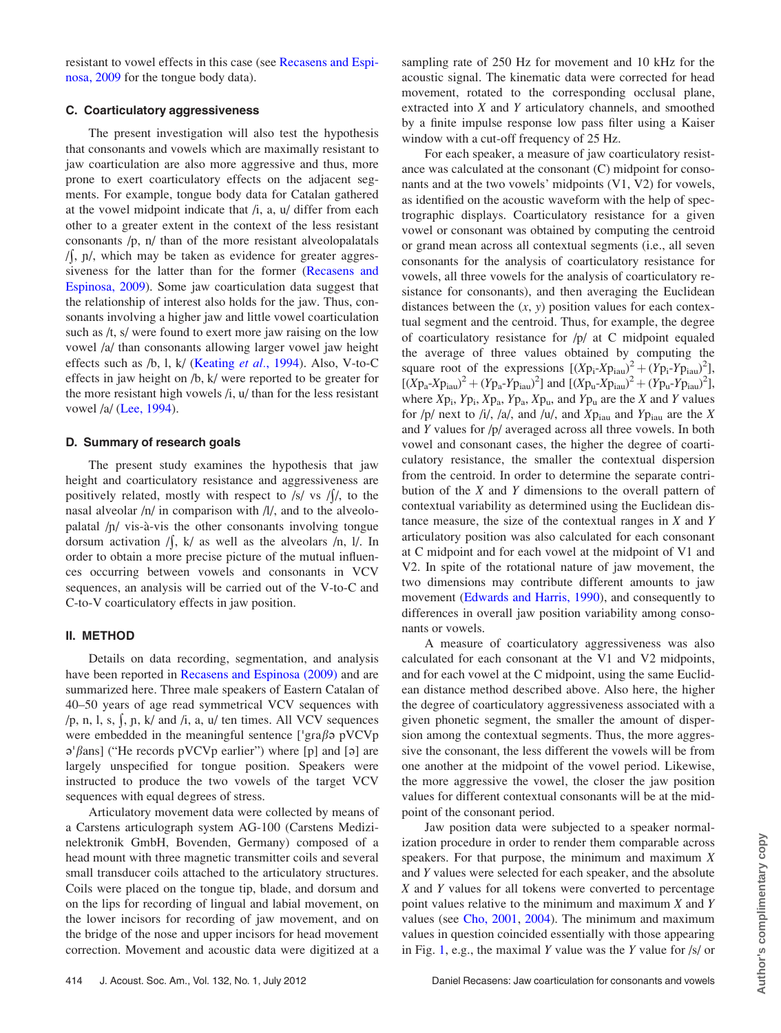resistant to vowel effects in this case (see [Recasens and Espi](#page-8-0)[nosa, 2009](#page-8-0) for the tongue body data).

# C. Coarticulatory aggressiveness

The present investigation will also test the hypothesis that consonants and vowels which are maximally resistant to jaw coarticulation are also more aggressive and thus, more prone to exert coarticulatory effects on the adjacent segments. For example, tongue body data for Catalan gathered at the vowel midpoint indicate that  $\beta$ , a,  $\alpha$  differ from each other to a greater extent in the context of the less resistant consonants /p, n/ than of the more resistant alveolopalatals  $/$ ,  $\pi$ , which may be taken as evidence for greater aggressiveness for the latter than for the former [\(Recasens and](#page-8-0) [Espinosa, 2009\)](#page-8-0). Some jaw coarticulation data suggest that the relationship of interest also holds for the jaw. Thus, consonants involving a higher jaw and little vowel coarticulation such as /t, s/ were found to exert more jaw raising on the low vowel /a/ than consonants allowing larger vowel jaw height effects such as /b, l, k/ [\(Keating](#page-8-0) et al., 1994). Also, V-to-C effects in jaw height on /b, k/ were reported to be greater for the more resistant high vowels  $/i$ ,  $u/$  than for the less resistant vowel /a/ [\(Lee, 1994\)](#page-8-0).

#### D. Summary of research goals

The present study examines the hypothesis that jaw height and coarticulatory resistance and aggressiveness are positively related, mostly with respect to /s/ vs / $\frac{1}{1}$ , to the nasal alveolar /n/ in comparison with /l/, and to the alveolopalatal  $/p/$  vis-à-vis the other consonants involving tongue dorsum activation  $/$ , k/ as well as the alveolars  $/$ n, l/. In order to obtain a more precise picture of the mutual influences occurring between vowels and consonants in VCV sequences, an analysis will be carried out of the V-to-C and C-to-V coarticulatory effects in jaw position.

### II. METHOD

Details on data recording, segmentation, and analysis have been reported in [Recasens and Espinosa \(2009\)](#page-8-0) and are summarized here. Three male speakers of Eastern Catalan of 40–50 years of age read symmetrical VCV sequences with /p, n, l, s,  $\int$ ,  $p$ ,  $k/$  and  $\dot{\mu}$ , a,  $u/$  ten times. All VCV sequences were embedded in the meaningful sentence [ $'$ gra $\beta$ ə pVCVp  $\sigma$ ' $\beta$ ans] ("He records pVCVp earlier") where [p] and [a] are largely unspecified for tongue position. Speakers were instructed to produce the two vowels of the target VCV sequences with equal degrees of stress.

Articulatory movement data were collected by means of a Carstens articulograph system AG-100 (Carstens Medizinelektronik GmbH, Bovenden, Germany) composed of a head mount with three magnetic transmitter coils and several small transducer coils attached to the articulatory structures. Coils were placed on the tongue tip, blade, and dorsum and on the lips for recording of lingual and labial movement, on the lower incisors for recording of jaw movement, and on the bridge of the nose and upper incisors for head movement correction. Movement and acoustic data were digitized at a sampling rate of 250 Hz for movement and 10 kHz for the acoustic signal. The kinematic data were corrected for head movement, rotated to the corresponding occlusal plane, extracted into X and Y articulatory channels, and smoothed by a finite impulse response low pass filter using a Kaiser window with a cut-off frequency of 25 Hz.

For each speaker, a measure of jaw coarticulatory resistance was calculated at the consonant (C) midpoint for consonants and at the two vowels' midpoints (V1, V2) for vowels, as identified on the acoustic waveform with the help of spectrographic displays. Coarticulatory resistance for a given vowel or consonant was obtained by computing the centroid or grand mean across all contextual segments (i.e., all seven consonants for the analysis of coarticulatory resistance for vowels, all three vowels for the analysis of coarticulatory resistance for consonants), and then averaging the Euclidean distances between the  $(x, y)$  position values for each contextual segment and the centroid. Thus, for example, the degree of coarticulatory resistance for /p/ at C midpoint equaled the average of three values obtained by computing the square root of the expressions  $[(Xp_i-Xp_{iau})^2 + (Yp_i-Yp_{iau})^2]$ ,  $[(Xp_a-Xp_{iau})^2 + (Yp_a-Yp_{iau})^2]$  and  $[(Xp_u-Xp_{iau})^2 + (Yp_u-Yp_{iau})^2]$ , where  $Xp_i$ ,  $Yp_i$ ,  $Xp_a$ ,  $Yp_a$ ,  $Xp_u$ , and  $Yp_u$  are the X and Y values for /p/ next to /i/, /a/, and /u/, and  $Xp_{iau}$  and  $Yp_{iau}$  are the X and Y values for /p/ averaged across all three vowels. In both vowel and consonant cases, the higher the degree of coarticulatory resistance, the smaller the contextual dispersion from the centroid. In order to determine the separate contribution of the  $X$  and  $Y$  dimensions to the overall pattern of contextual variability as determined using the Euclidean distance measure, the size of the contextual ranges in  $X$  and  $Y$ articulatory position was also calculated for each consonant at C midpoint and for each vowel at the midpoint of V1 and V2. In spite of the rotational nature of jaw movement, the two dimensions may contribute different amounts to jaw movement ([Edwards and Harris, 1990](#page-8-0)), and consequently to differences in overall jaw position variability among consonants or vowels.

A measure of coarticulatory aggressiveness was also calculated for each consonant at the V1 and V2 midpoints, and for each vowel at the C midpoint, using the same Euclidean distance method described above. Also here, the higher the degree of coarticulatory aggressiveness associated with a given phonetic segment, the smaller the amount of dispersion among the contextual segments. Thus, the more aggressive the consonant, the less different the vowels will be from one another at the midpoint of the vowel period. Likewise, the more aggressive the vowel, the closer the jaw position values for different contextual consonants will be at the midpoint of the consonant period.

Jaw position data were subjected to a speaker normalization procedure in order to render them comparable across speakers. For that purpose, the minimum and maximum X and Y values were selected for each speaker, and the absolute X and Y values for all tokens were converted to percentage point values relative to the minimum and maximum X and Y values (see [Cho, 2001,](#page-8-0) [2004\)](#page-8-0). The minimum and maximum values in question coincided essentially with those appearing in Fig. [1](#page-3-0), e.g., the maximal Y value was the Y value for /s/ or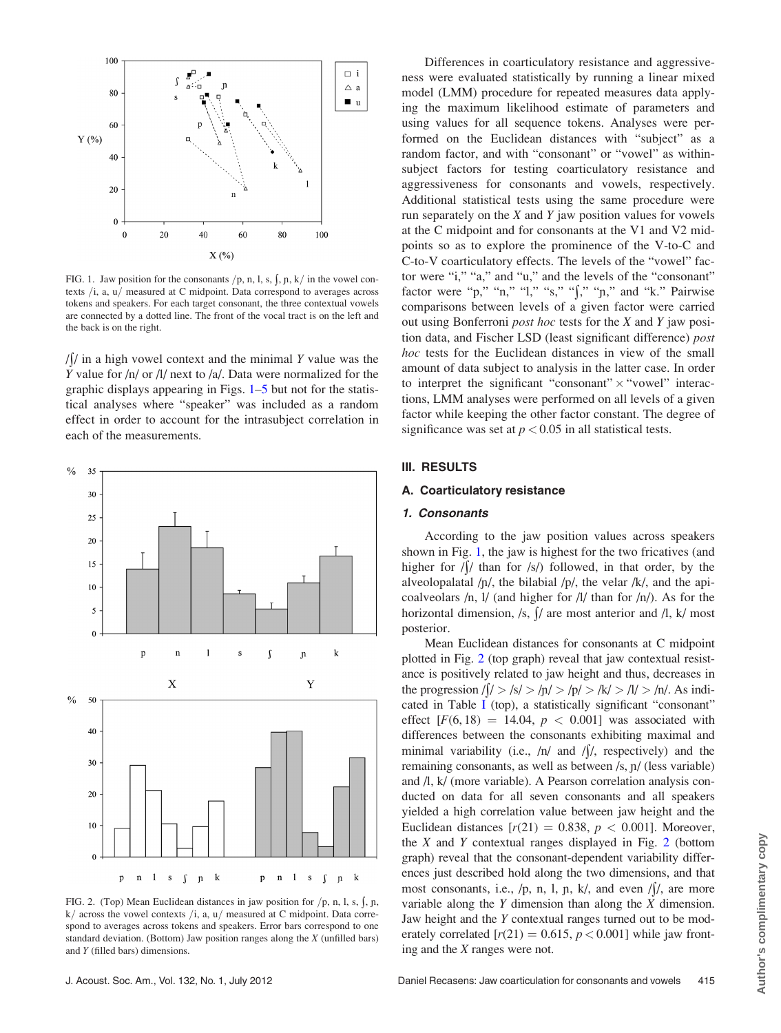<span id="page-3-0"></span>

FIG. 1. Jaw position for the consonants  $/p$ , n, l, s,  $\int$ , n, k $\int$  in the vowel contexts  $/i$ , a,  $u/$  measured at C midpoint. Data correspond to averages across tokens and speakers. For each target consonant, the three contextual vowels are connected by a dotted line. The front of the vocal tract is on the left and the back is on the right.

 $/$  in a high vowel context and the minimal Y value was the Y value for  $\frac{h}{v}$  or  $\frac{1}{v}$  next to  $\frac{a}{v}$ . Data were normalized for the graphic displays appearing in Figs. 1[–5](#page-5-0) but not for the statistical analyses where "speaker" was included as a random effect in order to account for the intrasubject correlation in each of the measurements.



FIG. 2. (Top) Mean Euclidean distances in jaw position for  $/p$ , n, l, s,  $\int$ , n,  $k/$  across the vowel contexts  $/i$ , a,  $u/$  measured at C midpoint. Data correspond to averages across tokens and speakers. Error bars correspond to one standard deviation. (Bottom) Jaw position ranges along the X (unfilled bars) and Y (filled bars) dimensions.

Differences in coarticulatory resistance and aggressiveness were evaluated statistically by running a linear mixed model (LMM) procedure for repeated measures data applying the maximum likelihood estimate of parameters and using values for all sequence tokens. Analyses were performed on the Euclidean distances with "subject" as a random factor, and with "consonant" or "vowel" as withinsubject factors for testing coarticulatory resistance and aggressiveness for consonants and vowels, respectively. Additional statistical tests using the same procedure were run separately on the  $X$  and  $Y$  jaw position values for vowels at the C midpoint and for consonants at the V1 and V2 midpoints so as to explore the prominence of the V-to-C and C-to-V coarticulatory effects. The levels of the "vowel" factor were "i," "a," and "u," and the levels of the "consonant" factor were "p," "n," "l," "s," "f," "n," and "k." Pairwise comparisons between levels of a given factor were carried out using Bonferroni post hoc tests for the X and Y jaw position data, and Fischer LSD (least significant difference) post hoc tests for the Euclidean distances in view of the small amount of data subject to analysis in the latter case. In order to interpret the significant "consonant" $\times$  "vowel" interactions, LMM analyses were performed on all levels of a given factor while keeping the other factor constant. The degree of significance was set at  $p < 0.05$  in all statistical tests.

### III. RESULTS

# A. Coarticulatory resistance

#### 1. Consonants

According to the jaw position values across speakers shown in Fig. 1, the jaw is highest for the two fricatives (and higher for  $/$  than for  $/s/$  followed, in that order, by the alveolopalatal  $/p/$ , the bilabial  $/p/$ , the velar  $/k/$ , and the apicoalveolars /n, l/ (and higher for /l/ than for /n/). As for the horizontal dimension, /s,  $\int$  are most anterior and /l, k/ most posterior.

Mean Euclidean distances for consonants at C midpoint plotted in Fig. 2 (top graph) reveal that jaw contextual resistance is positively related to jaw height and thus, decreases in the progression  $\sqrt{\frac{1}{5}}$  /s/ > /n/ > /p/ > /k/ > /l/ > /n/. As indicated in Table [I](#page-6-0) (top), a statistically significant "consonant" effect  $[F(6, 18) = 14.04, p < 0.001]$  was associated with differences between the consonants exhibiting maximal and minimal variability (i.e.,  $/n/$  and  $/\int$ , respectively) and the remaining consonants, as well as between /s,  $\pi$ / (less variable) and /l, k/ (more variable). A Pearson correlation analysis conducted on data for all seven consonants and all speakers yielded a high correlation value between jaw height and the Euclidean distances  $[r(21) = 0.838, p < 0.001]$ . Moreover, the  $X$  and  $Y$  contextual ranges displayed in Fig. 2 (bottom graph) reveal that the consonant-dependent variability differences just described hold along the two dimensions, and that most consonants, i.e.,  $/p$ , n, l, n, k/, and even  $/$ / $/$ , are more variable along the Y dimension than along the X dimension. Jaw height and the Y contextual ranges turned out to be moderately correlated  $[r(21) = 0.615, p < 0.001]$  while jaw fronting and the X ranges were not.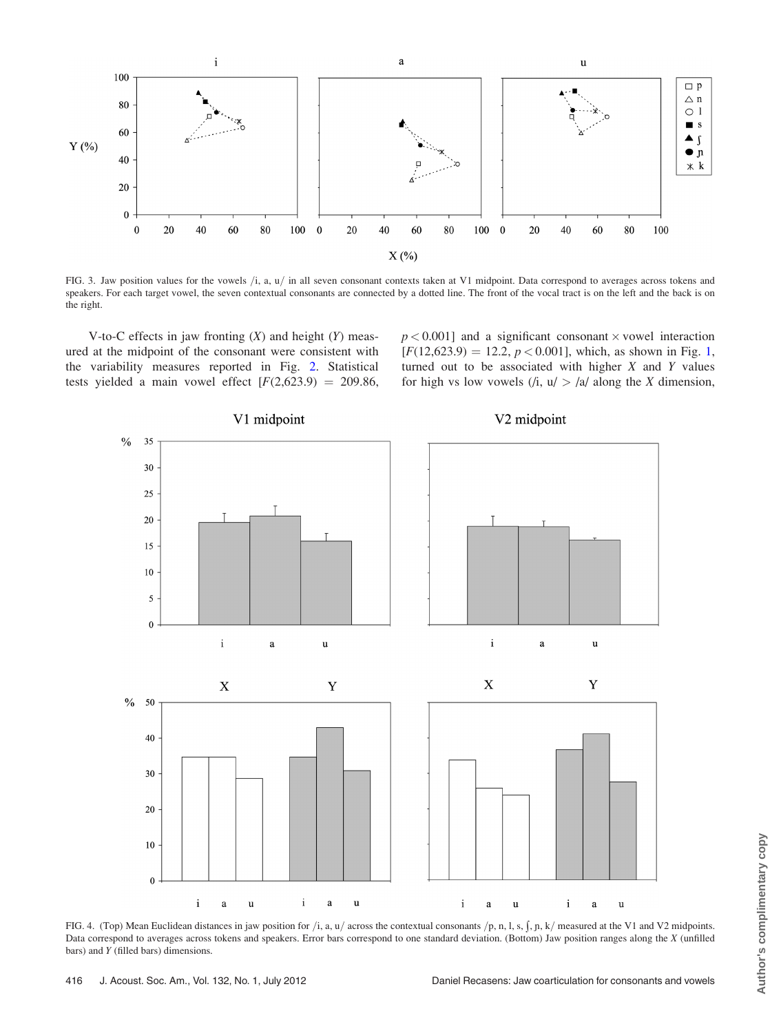<span id="page-4-0"></span>

FIG. 3. Jaw position values for the vowels  $/i$ , a,  $u/$  in all seven consonant contexts taken at V1 midpoint. Data correspond to averages across tokens and speakers. For each target vowel, the seven contextual consonants are connected by a dotted line. The front of the vocal tract is on the left and the back is on the right.

V-to-C effects in jaw fronting  $(X)$  and height  $(Y)$  measured at the midpoint of the consonant were consistent with the variability measures reported in Fig. [2.](#page-3-0) Statistical tests yielded a main vowel effect  $[F(2,623.9) = 209.86,$ 

 $p < 0.001$ ] and a significant consonant  $\times$  vowel interaction  $[F(12,623.9) = 12.2, p < 0.001]$ , which, as shown in Fig. [1,](#page-3-0) turned out to be associated with higher  $X$  and  $Y$  values for high vs low vowels  $(i, u) > |a|$  along the X dimension,



FIG. 4. (Top) Mean Euclidean distances in jaw position for  $/i$ , a, u $/\arccos$  sthe contextual consonants  $/p$ , n, l, s,  $\sin k$ , measured at the V1 and V2 midpoints. Data correspond to averages across tokens and speakers. Error bars correspond to one standard deviation. (Bottom) Jaw position ranges along the X (unfilled bars) and Y (filled bars) dimensions.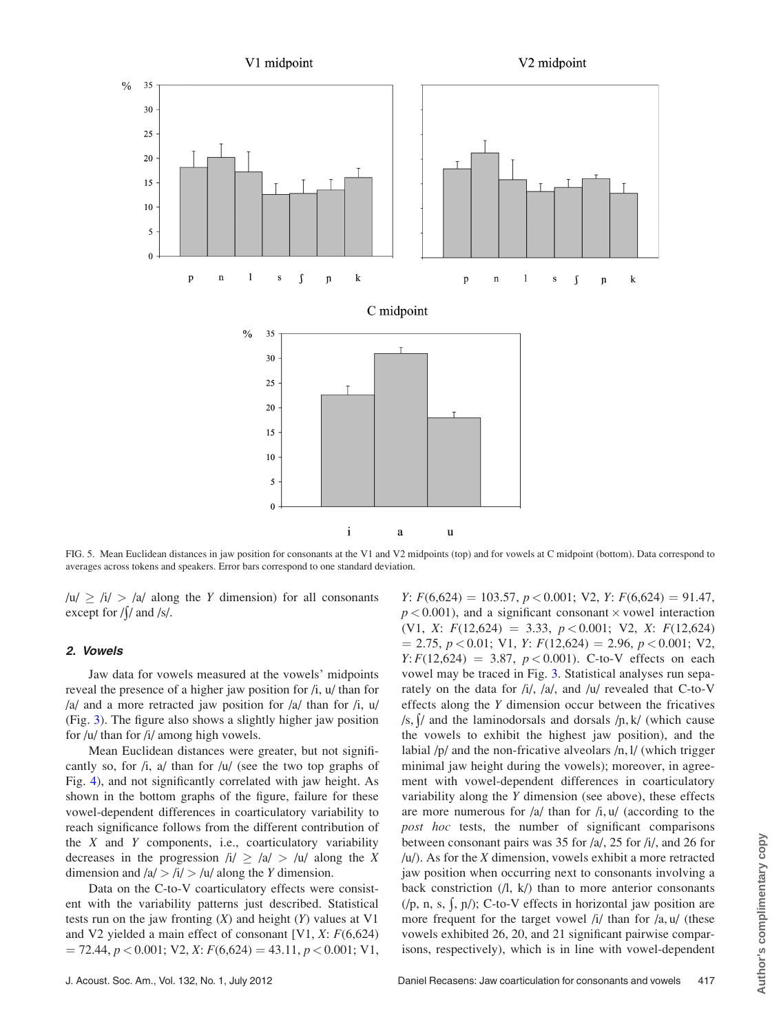<span id="page-5-0"></span>

FIG. 5. Mean Euclidean distances in jaw position for consonants at the V1 and V2 midpoints (top) and for vowels at C midpoint (bottom). Data correspond to averages across tokens and speakers. Error bars correspond to one standard deviation.

 $|u| \geq |i| > |a|$  along the Y dimension) for all consonants except for  $/ \int / \text{ and } / \text{s} /$ .

# 2. Vowels

Jaw data for vowels measured at the vowels' midpoints reveal the presence of a higher jaw position for /i, u/ than for /a/ and a more retracted jaw position for /a/ than for /i, u/ (Fig. [3\)](#page-4-0). The figure also shows a slightly higher jaw position for /u/ than for /i/ among high vowels.

Mean Euclidean distances were greater, but not significantly so, for  $/i$ ,  $a/$  than for  $/u/$  (see the two top graphs of Fig. [4\)](#page-4-0), and not significantly correlated with jaw height. As shown in the bottom graphs of the figure, failure for these vowel-dependent differences in coarticulatory variability to reach significance follows from the different contribution of the  $X$  and  $Y$  components, i.e., coarticulatory variability decreases in the progression  $\frac{1}{2}$  >  $\frac{1}{2}$  /u/ along the X dimension and  $|a| > |i| > |u|$  along the Y dimension.

Data on the C-to-V coarticulatory effects were consistent with the variability patterns just described. Statistical tests run on the jaw fronting  $(X)$  and height  $(Y)$  values at V1 and V2 yielded a main effect of consonant [V1,  $X: F(6,624)$ ]  $= 72.44, p < 0.001$ ; V2, X:  $F(6, 624) = 43.11, p < 0.001$ ; V1,  $Y: F(6,624) = 103.57, p < 0.001; V2, Y: F(6,624) = 91.47,$  $p < 0.001$ ), and a significant consonant  $\times$  vowel interaction (V1, X:  $F(12,624) = 3.33, p < 0.001$ ; V2, X:  $F(12,624)$  $= 2.75, p < 0.01; V1, Y: F(12,624) = 2.96, p < 0.001; V2,$  $Y: F(12,624) = 3.87, p < 0.001$ . C-to-V effects on each vowel may be traced in Fig. [3](#page-4-0). Statistical analyses run separately on the data for /i/, /a/, and /u/ revealed that C-to-V effects along the Y dimension occur between the fricatives /s,  $\int$  and the laminodorsals and dorsals /n, k/ (which cause the vowels to exhibit the highest jaw position), and the labial /p/ and the non-fricative alveolars /n, l/ (which trigger minimal jaw height during the vowels); moreover, in agreement with vowel-dependent differences in coarticulatory variability along the Y dimension (see above), these effects are more numerous for  $\frac{a}{\tan \theta}$  than for  $\frac{h}{u}$ ,  $\frac{u}{\tan \theta}$  (according to the post hoc tests, the number of significant comparisons between consonant pairs was 35 for /a/, 25 for /i/, and 26 for  $/u$ ). As for the X dimension, vowels exhibit a more retracted jaw position when occurring next to consonants involving a back constriction  $($  $/$  $\vert$ ,  $\vert$  $\kappa$  $/$  $\rangle$  than to more anterior consonants  $(1, n, s, \frac{1}{2}, n)$ ; C-to-V effects in horizontal jaw position are more frequent for the target vowel  $\frac{1}{l}$  than for  $\frac{1}{a}$ ,  $\frac{u}{m}$  (these vowels exhibited 26, 20, and 21 significant pairwise comparisons, respectively), which is in line with vowel-dependent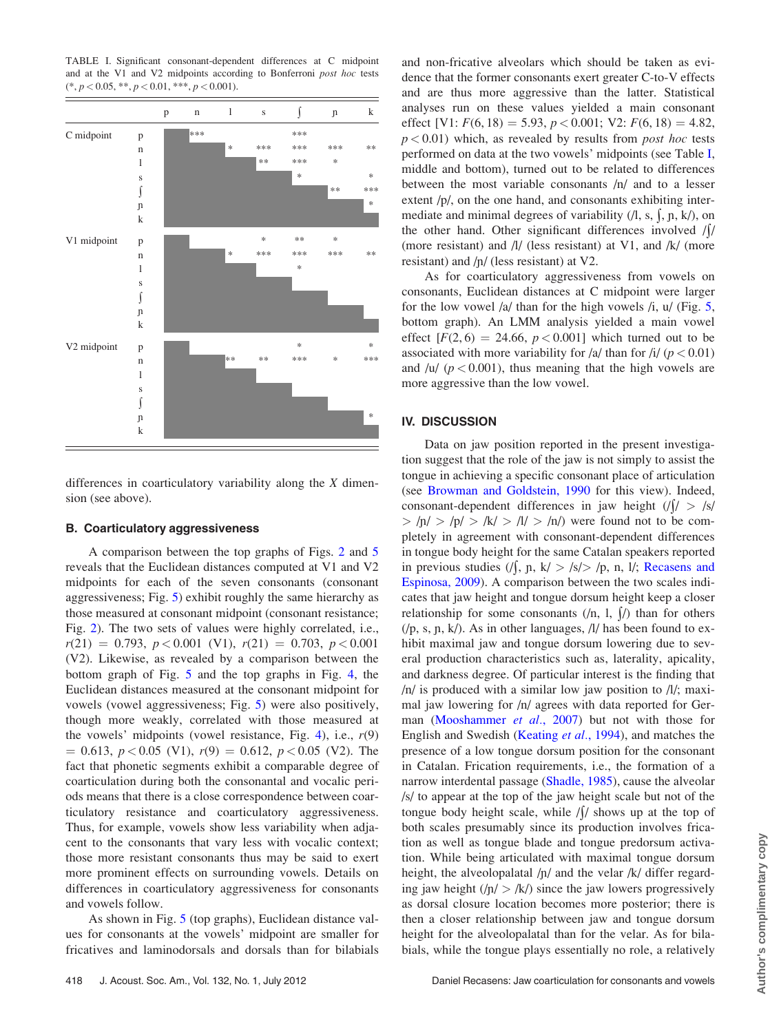<span id="page-6-0"></span>TABLE I. Significant consonant-dependent differences at C midpoint and at the V1 and V2 midpoints according to Bonferroni post hoc tests  $(*, p < 0.05, **, p < 0.01, ***, p < 0.001).$ 



differences in coarticulatory variability along the X dimension (see above).

#### B. Coarticulatory aggressiveness

A comparison between the top graphs of Figs. [2](#page-3-0) and [5](#page-5-0) reveals that the Euclidean distances computed at V1 and V2 midpoints for each of the seven consonants (consonant aggressiveness; Fig. [5\)](#page-5-0) exhibit roughly the same hierarchy as those measured at consonant midpoint (consonant resistance; Fig. [2](#page-3-0)). The two sets of values were highly correlated, i.e.,  $r(21) = 0.793, p < 0.001$  (V1),  $r(21) = 0.703, p < 0.001$ (V2). Likewise, as revealed by a comparison between the bottom graph of Fig. [5](#page-5-0) and the top graphs in Fig. [4,](#page-4-0) the Euclidean distances measured at the consonant midpoint for vowels (vowel aggressiveness; Fig. [5](#page-5-0)) were also positively, though more weakly, correlated with those measured at the vowels' midpoints (vowel resistance, Fig. [4](#page-4-0)), i.e.,  $r(9)$  $= 0.613, p < 0.05$  (V1),  $r(9) = 0.612, p < 0.05$  (V2). The fact that phonetic segments exhibit a comparable degree of coarticulation during both the consonantal and vocalic periods means that there is a close correspondence between coarticulatory resistance and coarticulatory aggressiveness. Thus, for example, vowels show less variability when adjacent to the consonants that vary less with vocalic context; those more resistant consonants thus may be said to exert more prominent effects on surrounding vowels. Details on differences in coarticulatory aggressiveness for consonants and vowels follow.

As shown in Fig. [5](#page-5-0) (top graphs), Euclidean distance values for consonants at the vowels' midpoint are smaller for fricatives and laminodorsals and dorsals than for bilabials and non-fricative alveolars which should be taken as evidence that the former consonants exert greater C-to-V effects and are thus more aggressive than the latter. Statistical analyses run on these values yielded a main consonant effect [V1:  $F(6, 18) = 5.93$ ,  $p < 0.001$ ; V2:  $F(6, 18) = 4.82$ ,  $p < 0.01$ ) which, as revealed by results from *post hoc* tests performed on data at the two vowels' midpoints (see Table I, middle and bottom), turned out to be related to differences between the most variable consonants /n/ and to a lesser extent /p/, on the one hand, and consonants exhibiting intermediate and minimal degrees of variability  $(1, s, \{, p, k\})$ , on the other hand. Other significant differences involved  $/$ (more resistant) and /l/ (less resistant) at V1, and /k/ (more resistant) and  $/p/$  (less resistant) at V2.

As for coarticulatory aggressiveness from vowels on consonants, Euclidean distances at C midpoint were larger for the low vowel  $\alpha$  than for the high vowels  $\beta$ ,  $\alpha$  (Fig. [5,](#page-5-0) bottom graph). An LMM analysis yielded a main vowel effect  $[F(2, 6) = 24.66, p < 0.001]$  which turned out to be associated with more variability for /a/ than for /i/  $(p < 0.01)$ and /u/  $(p < 0.001)$ , thus meaning that the high vowels are more aggressive than the low vowel.

# IV. DISCUSSION

Data on jaw position reported in the present investigation suggest that the role of the jaw is not simply to assist the tongue in achieving a specific consonant place of articulation (see [Browman and Goldstein, 1990](#page-8-0) for this view). Indeed, consonant-dependent differences in jaw height  $\frac{f}{f}$  > /s/  $>$  /p/  $>$  /p/  $>$  /k/  $>$  /l/  $>$  /n/) were found not to be completely in agreement with consonant-dependent differences in tongue body height for the same Catalan speakers reported in previous studies  $\left(\frac{1}{2}, p, k\right) > \frac{|s|}{2}$ , n, l/; [Recasens and](#page-8-0) [Espinosa, 2009\)](#page-8-0). A comparison between the two scales indicates that jaw height and tongue dorsum height keep a closer relationship for some consonants  $(n, 1, \sqrt{7})$  than for others  $(1, s, p, k)$ . As in other languages,  $1/1$  has been found to exhibit maximal jaw and tongue dorsum lowering due to several production characteristics such as, laterality, apicality, and darkness degree. Of particular interest is the finding that /n/ is produced with a similar low jaw position to /l/; maximal jaw lowering for /n/ agrees with data reported for Ger-man [\(Mooshammer](#page-8-0) et al., 2007) but not with those for English and Swedish ([Keating](#page-8-0) et al., 1994), and matches the presence of a low tongue dorsum position for the consonant in Catalan. Frication requirements, i.e., the formation of a narrow interdental passage [\(Shadle, 1985](#page-8-0)), cause the alveolar /s/ to appear at the top of the jaw height scale but not of the tongue body height scale, while  $/$ / $/$  shows up at the top of both scales presumably since its production involves frication as well as tongue blade and tongue predorsum activation. While being articulated with maximal tongue dorsum height, the alveolopalatal  $/p/$  and the velar  $/k/$  differ regarding jaw height  $(|\eta| > |k|)$  since the jaw lowers progressively as dorsal closure location becomes more posterior; there is then a closer relationship between jaw and tongue dorsum height for the alveolopalatal than for the velar. As for bilabials, while the tongue plays essentially no role, a relatively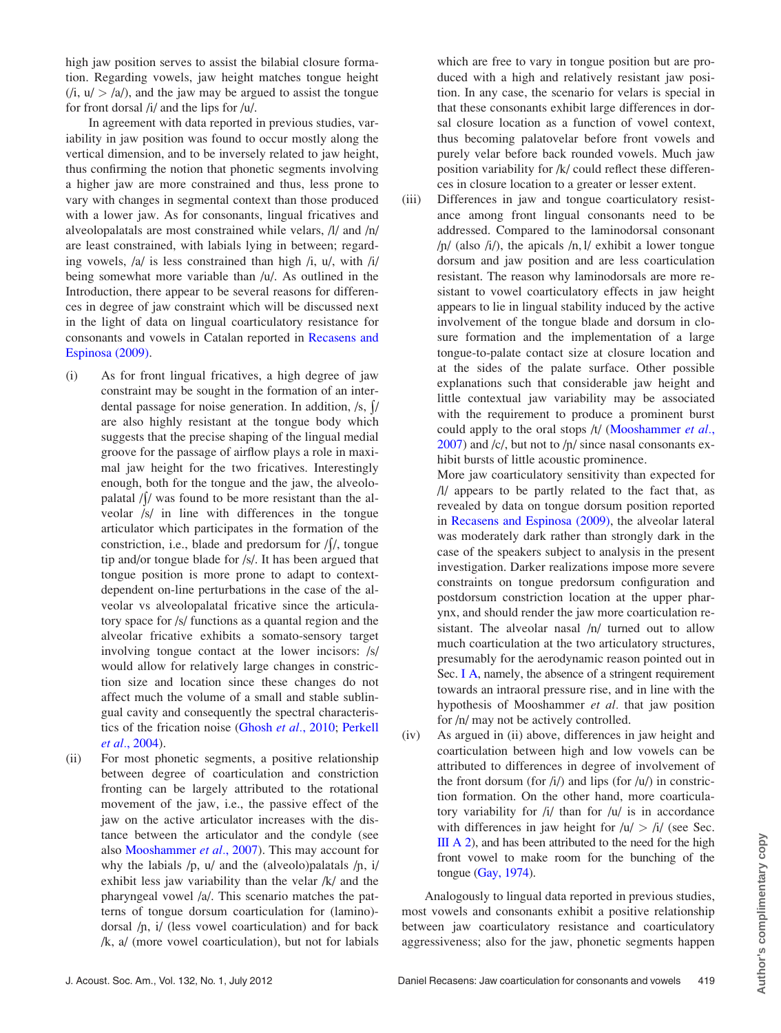high jaw position serves to assist the bilabial closure formation. Regarding vowels, jaw height matches tongue height  $(i, u' > |a|)$ , and the jaw may be argued to assist the tongue for front dorsal /i/ and the lips for /u/.

In agreement with data reported in previous studies, variability in jaw position was found to occur mostly along the vertical dimension, and to be inversely related to jaw height, thus confirming the notion that phonetic segments involving a higher jaw are more constrained and thus, less prone to vary with changes in segmental context than those produced with a lower jaw. As for consonants, lingual fricatives and alveolopalatals are most constrained while velars, /l/ and /n/ are least constrained, with labials lying in between; regarding vowels, /a/ is less constrained than high /i, u/, with /i/ being somewhat more variable than /u/. As outlined in the Introduction, there appear to be several reasons for differences in degree of jaw constraint which will be discussed next in the light of data on lingual coarticulatory resistance for consonants and vowels in Catalan reported in [Recasens and](#page-8-0) [Espinosa \(2009\).](#page-8-0)

- (i) As for front lingual fricatives, a high degree of jaw constraint may be sought in the formation of an interdental passage for noise generation. In addition,  $/s$ ,  $\frac{1}{s}$ are also highly resistant at the tongue body which suggests that the precise shaping of the lingual medial groove for the passage of airflow plays a role in maximal jaw height for the two fricatives. Interestingly enough, both for the tongue and the jaw, the alveolopalatal  $//$  was found to be more resistant than the alveolar /s/ in line with differences in the tongue articulator which participates in the formation of the constriction, i.e., blade and predorsum for  $/ \frac{1}{2}$ , tongue tip and/or tongue blade for /s/. It has been argued that tongue position is more prone to adapt to contextdependent on-line perturbations in the case of the alveolar vs alveolopalatal fricative since the articulatory space for /s/ functions as a quantal region and the alveolar fricative exhibits a somato-sensory target involving tongue contact at the lower incisors: /s/ would allow for relatively large changes in constriction size and location since these changes do not affect much the volume of a small and stable sublingual cavity and consequently the spectral characteristics of the frication noise [\(Ghosh](#page-8-0) et al., 2010; [Perkell](#page-8-0) et al.[, 2004](#page-8-0)).
- (ii) For most phonetic segments, a positive relationship between degree of coarticulation and constriction fronting can be largely attributed to the rotational movement of the jaw, i.e., the passive effect of the jaw on the active articulator increases with the distance between the articulator and the condyle (see also [Mooshammer](#page-8-0) et al., 2007). This may account for why the labials  $/p$ ,  $u/$  and the (alveolo)palatals  $/p$ , i/ exhibit less jaw variability than the velar /k/ and the pharyngeal vowel /a/. This scenario matches the patterns of tongue dorsum coarticulation for (lamino) dorsal  $/p$ , i/ (less vowel coarticulation) and for back /k, a/ (more vowel coarticulation), but not for labials

which are free to vary in tongue position but are produced with a high and relatively resistant jaw position. In any case, the scenario for velars is special in that these consonants exhibit large differences in dorsal closure location as a function of vowel context, thus becoming palatovelar before front vowels and purely velar before back rounded vowels. Much jaw position variability for /k/ could reflect these differences in closure location to a greater or lesser extent.

- (iii) Differences in jaw and tongue coarticulatory resistance among front lingual consonants need to be addressed. Compared to the laminodorsal consonant  $/p/$  (also  $/i/$ ), the apicals  $/n, 1/$  exhibit a lower tongue dorsum and jaw position and are less coarticulation resistant. The reason why laminodorsals are more resistant to vowel coarticulatory effects in jaw height appears to lie in lingual stability induced by the active involvement of the tongue blade and dorsum in closure formation and the implementation of a large tongue-to-palate contact size at closure location and at the sides of the palate surface. Other possible explanations such that considerable jaw height and little contextual jaw variability may be associated with the requirement to produce a prominent burst could apply to the oral stops /t/ [\(Mooshammer](#page-8-0) et al.,  $2007$ ) and /c/, but not to /n/ since nasal consonants exhibit bursts of little acoustic prominence.
	- More jaw coarticulatory sensitivity than expected for /l/ appears to be partly related to the fact that, as revealed by data on tongue dorsum position reported in [Recasens and Espinosa \(2009\)](#page-8-0), the alveolar lateral was moderately dark rather than strongly dark in the case of the speakers subject to analysis in the present investigation. Darker realizations impose more severe constraints on tongue predorsum configuration and postdorsum constriction location at the upper pharynx, and should render the jaw more coarticulation resistant. The alveolar nasal /n/ turned out to allow much coarticulation at the two articulatory structures, presumably for the aerodynamic reason pointed out in Sec. [I A](#page-0-0), namely, the absence of a stringent requirement towards an intraoral pressure rise, and in line with the hypothesis of Mooshammer et al. that jaw position for /n/ may not be actively controlled.
- (iv) As argued in (ii) above, differences in jaw height and coarticulation between high and low vowels can be attributed to differences in degree of involvement of the front dorsum (for  $\frac{1}{\lambda}$ ) and lips (for  $\frac{1}{\lambda}$ ) in constriction formation. On the other hand, more coarticulatory variability for /i/ than for /u/ is in accordance with differences in jaw height for  $/u$  >  $/i$  (see Sec.  $III A 2$ ), and has been attributed to the need for the high front vowel to make room for the bunching of the tongue ([Gay, 1974\)](#page-8-0).

Analogously to lingual data reported in previous studies, most vowels and consonants exhibit a positive relationship between jaw coarticulatory resistance and coarticulatory aggressiveness; also for the jaw, phonetic segments happen